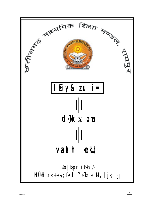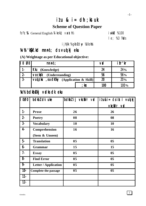# $itu$  &  $i=$  dh; kstuk **Scheme of Question Paper**

fo"k; %& General English %I kekU; vaxth % 100

le; % 3 ?kaVs

i jh{kk % gkbLdwy ¼10ohk

# ¼v½ 'kS{kf.kd mn~ns'; ds vuqlkj eku ¼v½ 'kS{kf.kd mn~ns'; ds vuqlkj eku

# **(A) Weightage as per Educational objective:**

| II 0<br>Ø0     | mnns;                                    | <b>VD</b> | ifr' <sub>kr</sub> |
|----------------|------------------------------------------|-----------|--------------------|
|                | <b>Kku</b> (Knowledge)                   | 24        | 24%                |
| $2 -$          | <b>vocksk</b><br>(Understanding)         | 56        | 56%                |
| $\overline{3}$ | Vui z kx , 0a dkky (Application & Skill) | 20        | $20\%$             |
|                | $;$ kx                                   | 100       | 100%               |

# **Xc½ bdkbbkj vadks dk eku**

| $\sqrt{1000}$   | bdkbl dk uke                | bdkbl i j vkciVr vid                | $i \ell u \& i = ds$ ik: i vuo kj |
|-----------------|-----------------------------|-------------------------------------|-----------------------------------|
|                 |                             |                                     | vkcíVr vd                         |
| $1 -$           | <b>Prose</b>                | 26                                  | 26                                |
| $2 -$           | <b>Poetry</b>               | 08                                  | 08                                |
| $3 -$           | <b>Vocabulary</b>           | 10                                  | 10                                |
| 4               | Comprehension               | 16                                  | 16                                |
|                 | (Seen & Unseen)             |                                     |                                   |
| 5-              | <b>Translation</b>          | 0 <sub>5</sub>                      | 0 <sub>5</sub>                    |
| $6 -$           | <b>Grammar</b>              | 15                                  | 15                                |
| $7 -$           | <b>Essay</b>                | 0 <sub>5</sub>                      | 0 <sub>5</sub>                    |
| 8               | <b>Find Error</b>           | 0 <sub>5</sub>                      | 0 <sub>5</sub>                    |
| 9.              | <b>Letter / Application</b> | 0 <sub>5</sub>                      | 0 <sub>5</sub>                    |
| $10 -$          | <b>Complete the passage</b> | $\overline{\overline{\mathbf{05}}}$ | $\overline{05}$                   |
| $11 -$          |                             |                                     |                                   |
| $\overline{12}$ |                             |                                     |                                   |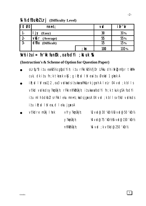# **14 ½ dfBukbI Lrj** (Difficulty Level)

| II 0<br>Ø0 | mnns;                               |      | <b>VD</b> | ifr'kr     |
|------------|-------------------------------------|------|-----------|------------|
|            | (Easy)                              |      | 30        | <b>30%</b> |
| $2 -$      | $\mathbf{M}$ $\mathbf{r}$ (Average) |      | 55        | 55%        |
| $3 -$      | <b>dfBu</b> (Difficult)             |      | 15        | 15%        |
|            |                                     | ; kx | 100       | 100%       |

# $\n *Y*n% i $t$ ui= fn'kk funkk, oa fodYi ;ktuk %$

## **(Instruction's & Scheme of Option for Question Paper)**

- oLrtju"B itu ea)05½ cgtjodYih; itu rFkk )05½ fjDr LFkku dh itirZ@mfpr tkMh cuk, dk itu fn;k tkosk vk $s$ ; g ilt; d l V esitu Øekad 1 gksk A
- $i$ R;sd l $i$ V ea 1] 2 , oa 3 vadka ds iz uka ea fHkUurk jg $x$ h A leLr 04 vad ;k blls vf/kd vadks ds y?kanÙkjh; rFkk nh?ktnÙkjh; it uka ea fodYi fn;k tkuk gSA fodYi izu mlh bdkbZ ls rFkk leku mnns'; ka ds jgaks A 04 vad ; k blls vf/kd vadks ds  $itu$  i $k$ ;  $d$  l  $y$  es, d l eku jgs $s$ A

| $\bullet$ | vf/kdre mükj I hek | vfry?kmÙkjh;     | $\mathcal{R}$ vd@30 'kcn228 vd@50 'kcn2 |
|-----------|--------------------|------------------|-----------------------------------------|
|           |                    | $\vee$ ?kmÙkj h; | 14 vd@75 'kCn1216 vd@150 'kCn12         |
|           |                    | nh?kInUkj h;     | $%$ vd : k vf/kd@250 'k $n$ /k          |

3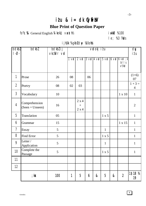# i $t$ u & i= dk Cyfii $W$

# **Blue Print of Question Paper**

fo"k; % General English ¼lkekU; vaxsth½ iw.kkd % 100

# le; % 3 ?kaVs

i jh{kk % gkbLdwy ¼10ohk

| bdkbl<br>$\overline{\phantom{a}}$ . | bdkbl                              | bdkblij<br>vkciVr vid |    |                       |    | vrdokj izu |              |   |                                                                           | dy<br>it u                  |
|-------------------------------------|------------------------------------|-----------------------|----|-----------------------|----|------------|--------------|---|---------------------------------------------------------------------------|-----------------------------|
|                                     |                                    |                       |    |                       |    |            |              |   | 1 vid 2 vid 3 vid 4 vid 5 vid 6 vid 6 vid ; k<br>$b$ $l$ $l$ $s$<br>vf/kd |                             |
| 1                                   | Prose                              | 26                    | 08 |                       | 06 |            |              |   |                                                                           | $(1+6)$<br>07               |
| $\overline{2}$                      | Poetry                             | 08                    | 02 | 03                    |    |            |              |   |                                                                           | $1 + 3 =$<br>$\overline{4}$ |
| $\mathfrak{Z}$                      | Vocabulary                         | 10                    |    |                       |    |            |              |   | $1 \times 10$                                                             | $\mathbf{1}$                |
| $\overline{4}$                      | Comprehension<br>$(Seen + Unseen)$ | 16                    |    | 2 x 4<br>$+$<br>2 x 4 |    |            |              |   |                                                                           | $\overline{2}$              |
| 5                                   | Translation                        | 05                    |    |                       |    |            | 1 x 5        |   |                                                                           | $\mathbf{1}$                |
| 6                                   | Grammar                            | 15                    |    |                       |    |            |              |   | $1 \times 15$                                                             | $\mathbf{1}$                |
| $\overline{1}$                      | Essay                              | 5                     |    |                       |    |            | $\mathbf{1}$ |   |                                                                           | $\mathbf{1}$                |
| 8                                   | Find Error                         | 5                     |    |                       |    |            | 1 x 5        |   |                                                                           | $\mathbf{1}$                |
| 9                                   | Letter/<br>Application             | 5                     |    |                       |    |            | $\mathbf{1}$ |   |                                                                           | $\mathbf{1}$                |
| 10                                  | Complete the<br>Passage            | 5                     |    |                       |    |            | 1 x 5        |   |                                                                           | $\mathbf{1}$                |
| 11                                  |                                    |                       |    |                       |    |            |              |   |                                                                           |                             |
| 12                                  |                                    |                       |    |                       |    |            |              |   |                                                                           |                             |
|                                     | ; kx                               | 100                   | 1  | 5                     | 6  | &          | 5            | & | $\boldsymbol{2}$                                                          | 1\$18 34<br>19              |

-3-

4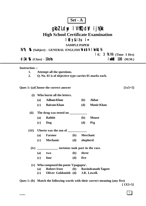# **Set - A**

# gkbZ Ldwy IVhTQdV ijh{kk

**High School Certificate Examination**

# l fiy&itu i=

**SAMPLE PAPER**

fo"k; % (Subject) - GENERAL ENGLISH Wasth I kekU; 1/2

 $\mathbf{e}$ ; 3  $\mathbf{\hat{x}}$ . Vk (Time- 3 Hrs) d{kk % (Class) - **10oh i** which 100 (M.M.)

**Instruction :-**

- **1. Attempt all the questions.**
- **2. Q. No. 01 is of objective type carries 01 marks each.**

**Ques 1:-(a)Choose the correct answer [1x5=5]**

| (i)   |     | Who burnt all the letters.            |              |              |                         |  |  |  |
|-------|-----|---------------------------------------|--------------|--------------|-------------------------|--|--|--|
|       |     | (a) Adham Khan                        |              | ( <b>b</b> ) | <b>Akbar</b>            |  |  |  |
|       |     | (c) Bairam Khan                       |              | (d)          | <b>Munir Khan</b>       |  |  |  |
| (ii)  |     | The drug was tested on ___            |              |              |                         |  |  |  |
|       |     | (a) Rabbit                            |              | ( <b>b</b> ) | <b>Mouse</b>            |  |  |  |
|       |     | $(c)$ Dog                             |              | ( <b>d</b> ) | Pig                     |  |  |  |
| (iii) |     |                                       |              |              |                         |  |  |  |
|       |     | (a) Farmer                            | ( <b>b</b> ) |              | <b>Merchant</b>         |  |  |  |
|       |     | (c) Mechanic                          |              | (d) shepherd |                         |  |  |  |
| (iv)  |     | tortoises took part in the race.      |              |              |                         |  |  |  |
|       |     | $(a)$ two                             | ( <b>b</b> ) | three        |                         |  |  |  |
|       | (c) | four                                  |              | $(d)$ five   |                         |  |  |  |
|       |     | (v) Who composed the poem 'Upagupta'. |              |              |                         |  |  |  |
|       |     | (a) Robert frost                      |              |              | (b) Ravindranath Tagore |  |  |  |
|       |     | (c) Oliver Goldsmith (d) J.R. Lowell. |              |              |                         |  |  |  |

**Ques 1:-(b) Match the following words with their correct meaning (any five) [ 1X5=5]**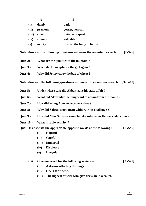|       | A        | B                          |  |
|-------|----------|----------------------------|--|
| (i)   | dumb     | dark                       |  |
| (ii)  | precious | gossip, hearsay            |  |
| (iii) | shield   | notable to speak           |  |
| (iv)  | rumour   | valuable                   |  |
| (v)   | murky    | protect the body in battle |  |

Note:-Answer the following questions in two or three sentences each . [2x3=6]

- **Ques 2:- What are the qualities of the fountain ?**
- **Ques 3:- When did Upagupta see the girl again ?**
- **Ques 4:- Why did Johny carry the bag of wheat ?**

**Note:-Answer the following questions in two or three sentences each [ 3x6=18]**

- **Ques 5:- Under whose care did Akbar leave his state affair ?**
- **Ques 6:- What did Alexander Fleming want to obtain from the mould ?**
- **Ques 7:- How did young Adorno become a slave ?**
- **Ques 8:- Why did Sohrab's opponent withdraw his challenge ?**
- **Ques 9:- How did Miss Sullivan come to take interest in Hellen's education ?**
- **Ques 10:- What is radio activity ?**

Ques 11:-(A) write the appropriate opposite words of the following : [1x5=5]

- **(i) Hopeful**
- **(ii) Careful**
- **(iii) Immortal**
- **(iv) Displease**
- **(v) Irregular**

#### **(B) Give one word for the following sentences : [ 1x5=5]**

- **(i) A disease affecting the lungs.**
- **(ii) One's son's wife.**
- **(iii) The highest official who give decision in a court.**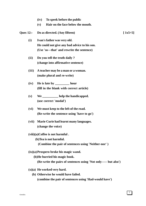- **(iv) To speek before the public**
- **(v) Hair on the face below the mouth.**

Ques 12:- Do as directed. (Any fifteen) [ 1x5=5]

- **(i) Ivan's father was very old. He could not give any bad advice to his son. (Use 'so---that' and rewrite the sentence)**
- **(ii) Do you tell the truth daily ? (change into affirmative sentence)**
- **(iii) A teacher may be a man or a woman. (make plural and re-write)**
- **(iv) He is late by \_\_\_\_\_\_\_\_\_ hour (fill in the blank with correct article)**
- **(v) We \_\_\_\_\_\_\_\_\_\_ help the handicapped. (use correct 'modal')**
- **(vi) We must keep to the left of the road. (Re-write the sentence using 'have to go')**
- **(vii) Marie Curie had learnt many languages. (change the voice)**

#### **(viii)(a)Coffee is not harmful .**

- **(b)Tea is not harmful.**
	- **(Combine the pair of sentences using 'Neither-nor' )**
- **(ix)(a)Prospero broke his magic wand.**
	- **(b)He burried his magic book.**
		- **(Re-write the pairs of sentences using 'Not only----- but also')**
- **(x)(a) He worked very hard.**
	- **(b) Otherwise he would have failed. (combine the pair of sentences using 'Had-would have')**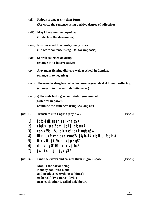- **(xi) Raipur is bigger city than Durg. (Re-write the sentence using positive degree of adjective)**
- **(xii) May I have another cup of tea. (Underline the determiner)**
- **(xiii) Rustum saved his country many times. (Re-write santence using 'Do' for imphasis)**
- **(xiv) Sohrab collected an army. (change in to interrogative)**
- **(xv) Alexander fleming did very well at school in London. (change in to negative)**
- **(xvi) The wonder drug has helped to lessen a great deal of human suffering. (change in to present indefinite tense.)**

**(xvii)(a)The state had a good and stable government.**

 **(b)He was in power. (combine the sentences using 'As long as')**

**Ques 13:- Translate into English (any five) [1x5=5]**

- 1] jk/kk  $d$ {kk uoeh ea $i$  < rh qS A
- 2] rūgkjs ikpk; $l$  dy jk; ig tk; xa A
- $3$ ] eps vf?kd ?ku dh vko'; drk ugha q $S$  A
- 4] Hkkjr us fnYyh en dkeuo YFk [kykn dk vk; kstu fd;k A
- 5] D;k vki jkt/kkuh ena jgrs g $S \setminus$
- 6] di;k ; gkWu 'kkafr cuk; s j $\lceil ka \rceil$
- 7] jkst ikuh cjl jgk gS A

Ques 14:- Find the errors and correct them in given space. **(1x5**=5)

| Man is the social being                     |  |
|---------------------------------------------|--|
| Nobody can lived alone                      |  |
| and produce everything to himself _________ |  |
| or herself. Two person living __________    |  |
| near each other is called neighbours        |  |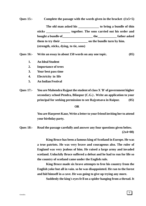**Ques 15:- Complete the passage with the words given in the bracket :(1x5=5)**

The old man asked his to bring a bundle of thin **sticks \_\_\_\_\_\_\_\_\_\_\_\_\_\_\_ together. The sons carried out his order and bought a bundle of\_\_\_\_\_\_\_\_\_\_\_\_\_\_\_\_\_\_\_ the\_\_\_\_\_\_\_\_\_\_\_\_ father asked them to try their \_\_\_\_\_\_\_\_\_\_\_\_\_\_\_\_\_ on the bundle turn by him. (strength, sticks, dying, to tie, sons)**

**Ques 16:- Write an essay in about 150 words on any one topic. (05)**

- **1. An Ideal Student**
- **2. Importance of trees**
- **3. Your best pass time**
- **4. Electricity in life**
- **5. An Indian Festival**

**Ques 17:- You are Mahendra Rajput the student of class X 'B' of government higher secondary school Pendra, Bilaspur (C.G.) . Write an application to your principal for seeking permission to see Rajyotsava in Raipur. (05)**

#### **OR**

**You are Harpreet Kaur, Write a letter to your friend inviting her to attend your birthday party.**

**Ques 18:- Read the passage carefully and answer any four questions given below. (2x4=08)**

> **King Bruce has been a famous king of Scotland in Europe. He was a true patriots. He was very brave and courageous also. The ruler of England was very jealous of him. He raised a large army and invaded scotland. Unluckily Bruce suffered a defeat and he had to run for life so the country of scotland came under the English rule.**

> **King Bruce made six brave attempts to free his country from the English yoke but all in vain. so he was disappointed. He ran to the forest and hid himself in a cave. He was going to give up trying any more.**

**Suddenly the king's eyes fe ll on a spider hanging from a thread. It**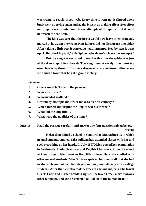**was trying to reach its cob-web. Every time it went up, it slipped down but it went on trying again and again. It went on making effort after effort non stop. Bruce counted nine brave attempts of the spider. Still it could not reach the cob-web.**

**The king was sure that the insect would now leave attempting any more. But he was in the wrong. Nine failures did not discourage the spider. After taking a little rest it started its tenth attempt. Step by step it went up. At first the king said,"Silly Spider! why doesn't it leave the attempt?"**

**But the king was surprised to see that this time the spider was just at the door step of its cob-web. The king thought surely I too, must try again to win my throne. Bruce raised again an army and invaded his enemy with such a force that he got a grand victory.**

**Question :**

- **1. Give a suitable Tittle to the passage.**
- **2. Who was Bruce ?**
- **3. Who invaded scotland ?**
- **4. How many attempts did Bruce make to free his country ?**
- **5. Which incsect did inspire the king to win his throne ?**
- **6. What did the king think ?**
- **7. What were the qualities of the king ?**

**Ques 19:- Read the passage carefully and answer any four questions given below.**

 **[2x4=8]**

**Helen then joined a school in Cambridge Massachusetts in which normal students studied. Miss sullivan had attended classes with her and spell everything on her hands. In July 1897 Helen passed her examination in Arithmatic, Latin Grammar and English Literature. From the school at Cambridge, Helen went to Redcliffe college. Here she studied with other normal students. Miss Sullivan spelt on her hands all that she had to study. Helan took her first degree in four years like any other college students. After that she also took degrees in various subjects. She learnt Greek, Latin and French besides English. She loved Greek more than any other language, and she described it as "violin of the human heart."**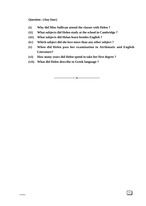#### **Question : (Any four)**

- **(i) Why did Miss Sullivan attend the classes with Helen ?**
- **(ii) What subjects did Helen study at the school in Cambridge ?**
- **(iii) What subjects did Helan learn besides English ?**
- **(iv) Which subject did she love more than any other subject ?**
- **(v) When did Helen pass her examination in Airthmatic and English Literature?**
- **(vi) How many years did Helen spend to take her first degree ?**
- **(vii) What did Helen describe to Greek language ?**

**--------------------x--------------------**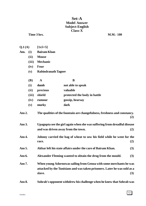### **Set-A Model Answer Subject-English Class-X**

#### **Time 3 hrs.** M.M.- 100

| Q.1(A) | $[1x5=5]$ |
|--------|-----------|
|--------|-----------|

- **Ans. (i) Bairam Khan**
	- **(ii) Mouse**
	- **(iii) Mechanic**
	- **(iv) Four**
	- **(v) Rabindranath Tagore**

| <b>(B)</b> | A        | B                            |
|------------|----------|------------------------------|
| (i)        | dumb     | not able to speak            |
| (ii)       | precious | valuable                     |
| (iii)      | shield   | protected the body in battle |
| (iv)       | rumour   | gossip, hearsay              |
| (v)        | murky    | dark                         |

**Ans 2. The qualities of the fountain are changefulness, freshness and constancy. (2)**

- **Ans 3. Upagupta see the girl again when she was suffering from dreadful disease and was driven away from the town. (2)**
- **Ans 4. Johnny carried the bag of wheat to sow his field while he went for the race. (2)**
- **Ans 5. Akbar left his state affairs under the care of Bairam Khan. (3)**
- **Ans 6. Alexander Fleming wanted to obtain the drug from the mould. (3)**
- **Ans 7. When young Adornowas sailing from Genoa with some merchants he was attacked by the Tunisians and was taken prisoners. Later he was sold as a slave. (3)**
- **Ans 8. Sohrab's opponent withdrew his challenge when he knew that Sohrab was**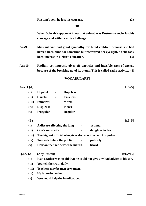**OR**

**When Sohrab's opponent knew that Sohrab was Rustum's son, he lost his courage and withdrew his challenge.**

- **Ans 9. Miss sullivan had great sympathy for blind children because she had herself been blind for sometime but recovered her eyesight. So she took keen interest in Helen's education. (3)**
- **Ans 10. Radium continuously gives off particles and invisible rays of energy because of the breaking up of its atoms. This is called radio-activity. (3)**

#### **[VOCABULARY]**

| Ans $11.(A)$ |                              |                |                                   |                                                                            | $[1x5=5]$   |
|--------------|------------------------------|----------------|-----------------------------------|----------------------------------------------------------------------------|-------------|
| (i)          | Hopeful                      | $\blacksquare$ | <b>Hopeless</b>                   |                                                                            |             |
| (ii)         | <b>Careful</b>               | $\blacksquare$ | <b>Careless</b>                   |                                                                            |             |
| (iii)        | <b>Immortal</b>              | $\blacksquare$ | <b>Mortal</b>                     |                                                                            |             |
| (iv)         | <b>Displease</b>             | $\blacksquare$ | <b>Please</b>                     |                                                                            |             |
| (v)          | <b>Irregular</b>             | $\blacksquare$ | <b>Regular</b>                    |                                                                            |             |
| <b>(B)</b>   |                              |                |                                   |                                                                            | $[1x5=5]$   |
| (i)          | A disease affecting the lung |                |                                   | asthma                                                                     |             |
| (ii)         | One's son's wife             |                |                                   | daughter in law                                                            |             |
| (iii)        |                              |                |                                   | The highest official who gives decision in a court - judge                 |             |
| (iv)         | To speak before the public   |                |                                   | publicly                                                                   |             |
| (v)          |                              |                | Hair on the face below the mouth- | beard                                                                      |             |
| Q.no. 12     | (Any Fifteen)                |                |                                   |                                                                            | $[1x15=15]$ |
| (i)          |                              |                |                                   | Ivan's father was so old that he could not give any bad advice to his son. |             |
| (ii)         | You tell the truth daily.    |                |                                   |                                                                            |             |
| (iii)        |                              |                | Teachers may be men or women.     |                                                                            |             |
| (iv)         | He is late by an hour.       |                |                                   |                                                                            |             |
| (v)          |                              |                | We should help the handicapped.   |                                                                            |             |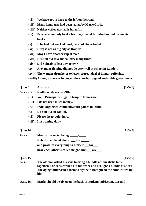- **(vi) We have got to keep to the left on the road.**
- **(vii) Many languages had been learnt by Marie Curie.**
- **(viii) Neither coffee nor tea is harmful.**
- **(ix) Prospero not only broke his magic wand but also burried his magic books.**
- **(x) If he had not worked hard, he would have failed.**
- **(xi) Durg is not as big city as Raipur.**
- **(xii) May I have another cup of tea ?**
- **(xiii) Rustum did save his country many times.**
- **(xiv) Did Sohrab collect any army ?**
- **(xv) Alexander fleming did not do very well at school in London.**
- **(xvi) The wonder drug helps to lessen a great deal of human suffering.**
- **(xviii)As long as he was in power, the state had a good and stable government.**

| Q. no. 13. Any Five | $[1x5=5]$                                                                                                                                                                                                                        |  |
|---------------------|----------------------------------------------------------------------------------------------------------------------------------------------------------------------------------------------------------------------------------|--|
| Ans:- $(i)$         | Radha reads in class 9th.                                                                                                                                                                                                        |  |
| (ii)                | Your Principal will go to Raipur tomorrow.                                                                                                                                                                                       |  |
| (iii)               | I do not need much money.                                                                                                                                                                                                        |  |
| (iv)                | India organised commonwealth games in Delhi.                                                                                                                                                                                     |  |
| (v)                 | Do you live in capital.                                                                                                                                                                                                          |  |
| (vi)                | Please, keep quiet here.                                                                                                                                                                                                         |  |
| (vii)               | It is raining daily.                                                                                                                                                                                                             |  |
| Q. no.14            | $[1x5=5]$                                                                                                                                                                                                                        |  |
| Ans:-               | Man is the social being _______ a______                                                                                                                                                                                          |  |
|                     | Nobody can lived alone ______________.                                                                                                                                                                                           |  |
|                     | and produce everything to himself _for_                                                                                                                                                                                          |  |
|                     | near each other is called neighbours _____ are_____.                                                                                                                                                                             |  |
| Q.no. 15.           | $[1x5=5]$                                                                                                                                                                                                                        |  |
| Ans:-               | The oldman asked his sons to bring a bundle of thin sticks to tie<br>together. The sons carried out his order and brought a bundle of sticks.<br>The dying father asked them to try their strength on the bundle turn by<br>him. |  |
| Q.no. 16.           | Marks should be given on the basis of students subject matter and                                                                                                                                                                |  |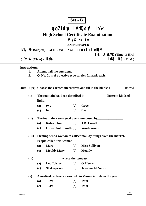# **Set - B**

# gkbZ Ldwy IVhTQdV ijh{kk

# **High School Certificate Examination**

## $l$  fiy&i $t$ u i=

#### **SAMPLE PAPER**

### fo"k; % (Subject) - GENERAL ENGLISH **Wasth | kekU**; ½

### $\mathbf{e}$ : 3  $\mathbf{\hat{x}}$ . Vk (Time- 3 Hrs) d{kk % (Class) - **10oh i** which 100 (M.M.)

#### **Instructions:-**

- **1. Attempt all the questions.**
- **2. Q. No. 01 is of objective type carries 01 mark each.**

Ques 1:-(A) Choose the correct alternatives and fill in the blanks : [1x5=5]

**(i) The fountain has been described in \_\_\_\_\_\_\_\_\_\_\_\_\_ different kinds of light.**

| $(a)$ two  | (b) three  |
|------------|------------|
| $(c)$ four | $(d)$ five |

**(ii) The fountain a very good poem composed by\_\_\_\_\_\_\_\_\_\_\_\_\_\_\_\_**

- **(a) Robert forst (b) J.R. Lowell**
- **(c) Oliver Gold Smith (d) Words worth**

**(iii) Fleming sent a woman to collect mouldy things from the market.**

**People called this woman \_\_\_\_\_\_\_\_\_\_\_\_\_**

- **(a) Mary (b) Miss Sullivan**
- **(c) Mouldy Mary (d) Mouldy**

#### **(iv) \_\_\_\_\_\_\_\_\_\_\_\_\_\_\_ wrote the tempest**

- **(a) Leo Tolstoy (b) O. Henry**
- **(c) Shakespears (d) Jawahar lal Nehru**

**(v) A medical conference was held in Verona in Italy in the year.**

| (a) | 1929 | <b>(b)</b> | 1939 |
|-----|------|------------|------|
|     |      |            |      |

**(c) 1949 (d) 1959**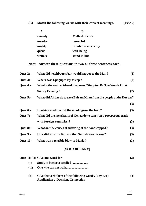**(B) Match the following words with their correct meanings. (1x5=5)**

| A       | B                     |
|---------|-----------------------|
| remedy  | <b>Method of cure</b> |
| invader | powerful              |
| mighty  | to enter as an enemy  |
| queue   | well being            |
| welfare | stand in line         |

**Note:- Answer these questions in two or three sentences each.**

| Ques $2:-$       | What did neighbours fear would happer to the Man?                    | (2) |
|------------------|----------------------------------------------------------------------|-----|
| <b>Ques 3:-</b>  | Where was Upagupta lay as leep?                                      | (2) |
| Ques $4$ :-      | What is the central idea of the poem "Stopping By The Woods On A     |     |
|                  | <b>Snowy Evening?</b>                                                | (2) |
| Ques $5:-$       | What did Akbar do to save Bairam Khan from the people at the Durbar? |     |
|                  |                                                                      | (3) |
| Ques $6$ :-      | In which medium did the mould grow the best?                         | (3) |
| <b>Ques 7:-</b>  | What did the merchants of Genoa do to carry on a prosperous trade    |     |
|                  | with foreign countries?                                              | (3) |
| <b>Ques 8:-</b>  | What are the causes of suffering of the handicapped?                 | (3) |
| <b>Ques 9:-</b>  | How did Rustum find out that Sohrab was his son?                     | (3) |
| <b>Ques 10:-</b> | What was a terrible blow to Marie?                                   | (3) |

### **[VOCABULARY]**

|      | Ques 11:-(a) Give one word for.                                                                   |     |
|------|---------------------------------------------------------------------------------------------------|-----|
| (i)  |                                                                                                   |     |
| (ii) |                                                                                                   |     |
| (b)  | Give the verb form of the following words. (any two)<br><b>Application</b> , Decision, Connection | (2) |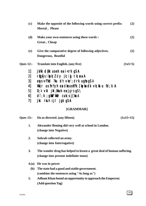| (c)              | Make the opposite of the following words using correct prefix:    |           |
|------------------|-------------------------------------------------------------------|-----------|
|                  | Mortal, Please                                                    |           |
| (d)              | Make your own sentences using these words :                       | (2)       |
|                  | Great, Cheap                                                      |           |
| (e)              | Give the comparative degree of following adjectives.              | (2)       |
|                  | Dangerous, Beatiful                                               |           |
| <b>Ques 12:-</b> | <b>Translate into English. (any five)</b>                         | $(1x5=5)$ |
| 11               | jk/kk d{kk uoeh ea i < rh g\$ A                                   |           |
| 2]               | rigkjs i kpk; l dy jk; i j tk; xa A                               |           |
| 3]               | eps vf?kd ?ku dh vko'; drk ugha g\$ A                             |           |
| 4                | Hikijr us fn $Y$ yh en dikeu $oY$ Fk [ksykn dik vik; kstu fd; k A |           |
| 5]               | $D; k \forall ki \ jkt/ktuh \text{ea jgrs gS} \$                  |           |
| 6                | $di; k$ ; gkW 'kkin cuk; s j[ka A                                 |           |
| 7]               | jkst ikuh cjl jgk g\$A                                            |           |
|                  | [GRAMMAR]                                                         |           |

|            | Ques 13:- Do as directed. (any fifteen)                               | $(1x15=15)$ |
|------------|-----------------------------------------------------------------------|-------------|
| 1.         | Alexander fleming did very well at school in London.                  |             |
|            | (change into Negative)                                                |             |
| 2.         | Sohrab collected an army.                                             |             |
|            | (change into Interrogative)                                           |             |
| 3.         | The wonder drug has helped to lessen a great deal of human suffering. |             |
|            | (change into present indefinite tense)                                |             |
| 4(a)       | He was in power                                                       |             |
| <b>(b)</b> | The state had a good and stable government.                           |             |
|            | (combine the sentences using "As long as")                            |             |
| 5.         | Adham Khan found an opportunity to approach the Emperror.             |             |

**(Add question Tag)**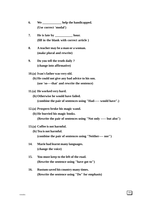- **6. We \_\_\_\_\_\_\_\_\_\_\_\_ help the handicapped. (Use correct 'modal')**
- **7. He is late by \_\_\_\_\_\_\_\_\_\_\_ hour. (fill in the blank with correct article )**
- **8. A teacher may be a man or a woman. (make plural and rewrite)**
- **9. Do you tell the truth daily ? (change into affirmative)**

**10.(a) Ivan's father was very old.**

- **(b) He could not give any bad advice to his son. (use 'so----that' and rewrite the sentence)**
- **11.(a) He worked very hard.**
	- **(b) Otherwise he would have failed. (combine the pair of sentences using "Had----- would have".)**
- **12.(a) Prospero broke his magic wand.**
	- **(b) He burried his magic books.**

**(Rewrite the pair of sentences using "Not only ----- but also")**

- **13.(a) Coffee is not harmful.**
	- **(b) Tea is not harmful. (combine the pair of sentences using "Neither---- nor")**
- **14. Marie had learnt many languages. (change the voice)**
- **15. You must keep to the left of the road. (Rewrite the sentence using "have got to")**
- **16. Rustum saved his country many times. (Rewrite the sentence using "Do" for emphasis)**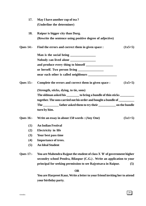| 17.              | May I have another cup of tea?                                                 |           |
|------------------|--------------------------------------------------------------------------------|-----------|
|                  | (Underline the determiner)                                                     |           |
| 18.              | Raipur is bigger city than Durg.                                               |           |
|                  | (Rewrite the sentence using positive degree of adjective)                      |           |
| <b>Ques 14:-</b> | Find the errors and correct them in given space :                              | $(1x5=5)$ |
|                  |                                                                                |           |
|                  | Nobody can lived alone                                                         |           |
|                  |                                                                                |           |
|                  |                                                                                |           |
|                  |                                                                                |           |
| <b>Ques 15:-</b> | Complete the errors and correct them in given space :                          | $(1x5=5)$ |
|                  | (Strength, sticks, dying, to tie, sons)                                        |           |
|                  | The oldman asked his ________ to bring a bundle of thin sticks _________       |           |
|                  | together. The sons carried out his order and bought a bundle of _________      |           |
|                  | The _____________ father asked them to try their _______________ on the bundle |           |
|                  | turn by him.                                                                   |           |
| <b>Ques 16:-</b> | Write an essay in about 150 words : (Any One)                                  | $(5x1=5)$ |
| (1)              | <b>An Indian Festival</b>                                                      |           |
| (2)              | <b>Electricity</b> in life                                                     |           |
| (3)              | Your best pass time                                                            |           |
| (4)              | <b>Importance of trees.</b>                                                    |           |
| (5)              | <b>An Ideal Student</b>                                                        |           |
| <b>Ques 17:-</b> | You are Mahendra Rajput the student of class X 'B' of government higher        |           |
|                  | secondry school Pendra, Bilaspur (C.G.). Write an application to your          |           |
|                  | principal for seeking permission to see Rajyotsava in Raipur.                  | (5)       |

### **OR**

**You are Harpreet Kaur, Write a letter to your friend inviting her to attend your birthday party.**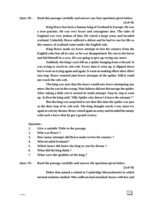#### **Ques 18:- Read this passage carefully and answer any four questions given below.**

 **(2x4=8)**

**King Bruce has been a famous king of Scotland in Europe. He was a true patriots. He was very brave and courageous also. The ruler of England was very jealous of him. He raised a large army and invaded scotland. Unluckily Bruce suffered a defeat and he had to run for life so the country of scotland came under the English rule.**

**King Bruce made six brave attempt to free his country from the English yoke but all in vain. so he was disappointed. He ran to the forest and hid himself in a cave. He was going to give up trying any more.**

**Suddenly the king's eyes fell on a spider hanging from a thread. It was trying to reach its cob-web. Every time it went up, it slipped down but it went on trying again and again. It went on making effort after effort non stop. Bruce counted nine brave attempts of the spider. Still it could not reach the cob-web.**

**The king was sure that the insect would now leave attempting any more. But he was in the wrong. Nine failures did not discourage the spider. After taking a little rest it started its tenth attempt. Step by step it went up. At first the king said,"Silly Spider why doesn't it leave the attempt ?"**

**But the king was surprised to see that this time the spider was just at the door step of its cob-web. The king thought surely I too, must try again to win my throne. Bruce raised again an army and invaded his enemy with such a force that he got a grand victory.**

**Question :**

- **1. Give a suitable Tittle to the passage.**
- **2. Who was Bruce ?**
- **3. How many attempts did Bruce make to free his country ?**
- **4. Who invaded Scotland ?**
- **5. Which insect did insire the king to win his throne ?**
- **6. What did the king think ?**
- **7. What were the qualities of the king ?**

**Ques 19:- Read the passage carefully and answer the questions given below.**

 **[2x4=8]**

**Helen then joined a school in Cambridge Massachusetts in which normal students studied. Miss sullivan had attended classes with her and**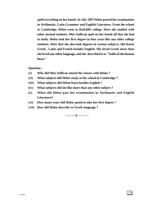**spell everything on her hands. In July 1897 Helen passed her examination in Arithmatic, Latin Grammer and English Literature. From the school at Cambridge, Helen went to Redcliffe college. Here she studied with other normal students. Miss Sullivan spelt on her hands all that she had to study. Helen took her first degree in four years like any other college students. After that she also took degrees in various subjects. She learnt Greek , Latin and French besides English. She loved Greek more than she loved any other language, and she described it as "Voilin of the human heart."**

**Question :**

- **(i) Why did Miss Sullivan attend the classes with Helan ?**
- **(ii) What subjects did Helen study at the school in Combridge ?**
- **(iii) What subjects did Helan learn besides English ?**
- **(iv) What subjects did she like more than any other subject ?**
- **(v) When did Helen pass her examination in Airthmatic and English Literature?**
- **(vi) How many years did Helen spend to take her first degree ?**
- **(vii) How did Helen describe to Greek language ?**

**---------X----------**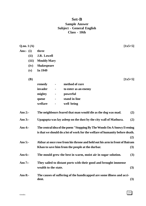### **Set-B Sample Answer Subject - General English Class - 10th**

| Q.no.1(A)   | $[1x5=5]$                                                                      |     |
|-------------|--------------------------------------------------------------------------------|-----|
| Ans:- $(i)$ | three                                                                          |     |
| (ii)        | <b>J.R. Lowell</b>                                                             |     |
| (iii)       | <b>Mouldy Mary</b>                                                             |     |
| (iv)        | <b>Shakespeare</b>                                                             |     |
| (v)         | In 1949                                                                        |     |
| <b>(B)</b>  | $[1x5=5]$                                                                      |     |
|             | method of cure<br>remedy                                                       |     |
|             | invader<br>to enter as an enemy<br>$\blacksquare$                              |     |
|             | mighty<br>powerful<br>$\blacksquare$                                           |     |
|             | stand in line<br>queue<br>$\blacksquare$                                       |     |
|             | welfare<br>well being                                                          |     |
| Ans $2$ :-  | The neighbours feared that man would die as the dog was mad.                   | (2) |
| Ans $3:$    | Upagupta was lay asleep on the dust by the city wall of Mathura.               | (2) |
| Ans $4$ :-  | The central idea of the poem "Stopping By The Woods On A Snowy Evening         |     |
|             | is that we should do a lot of work for the welfare of humanity before death.   |     |
|             |                                                                                | (2) |
| Ans $5$ :-  | Akbar at once rose from his throne and held out his arm in front of Bairam     |     |
|             | Khan to save him from the people at the durbar.                                | (3) |
| Ans $6$ :-  | The mould grew the best in warm, moist air in sugar solution.                  | (3) |
| Ans $7:$    | They sailed to distant ports with their good and brought immense               |     |
|             | wealth to the state.                                                           | (3) |
| Ans $8:$    | The causes of suffering of the handicapped are some illness and acci-<br>dent. | (3) |

23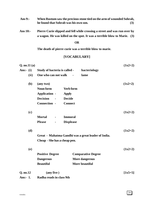| Ans $9$ :- | When Rustum saw the precious stone tied on the arm of wounded Sohrab, |     |
|------------|-----------------------------------------------------------------------|-----|
|            | he found that Sohrab was his own son.                                 | (3) |

**Ans 10:- Pierre Curie slipped and fell while crossing a street and was run over by a wagon. He was killed on the spot. It was a terrible blow to Marie. (3)**

#### **OR**

**The death of pierre curie was a terrible blow to marie.**

### **[VOCABULARY]**

| Q. no. 11(a) |                               |                                                     | $(1x2=2)$ |
|--------------|-------------------------------|-----------------------------------------------------|-----------|
| Ans:- $(i)$  | Study of bacteria is called - | bacteriology                                        |           |
| (ii)         | One who can not walk          | lame                                                |           |
| (b)          | (any two)                     |                                                     | $(1x2=2)$ |
|              | Noun form                     | <b>Verb form</b>                                    |           |
|              | <b>Application -</b>          | <b>Apply</b>                                        |           |
|              | <b>Decision</b>               | <b>Decide</b>                                       |           |
|              | Connection -                  | <b>Connect</b>                                      |           |
| (c)          |                               |                                                     | $(1x2=2)$ |
|              | <b>Mortal</b>                 | <b>Immoral</b>                                      |           |
|              | <b>Please</b>                 | <b>Displease</b>                                    |           |
| (d)          |                               |                                                     | $(1x2=2)$ |
|              |                               | Great - Mahatma Gandhi was a great leader of India. |           |
|              | Cheap - She has a cheap pen.  |                                                     |           |
| (e)          |                               |                                                     | $(1x2=2)$ |
|              | <b>Positive Degree</b>        | <b>Comparative Degree</b>                           |           |
|              | <b>Dangerous</b>              | <b>More dangerous</b>                               |           |
|              | <b>Beautiful</b>              | More beautiful                                      |           |
| Q. no.12     | $(\text{any five})$           |                                                     | $[1x5=5]$ |
| Ans:- $1$ .  | Radha reads in class 9th      |                                                     |           |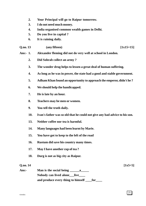- **2. Your Principal will go to Raipur tomorrow.**
- **3. I do not need much money.**
- **4. India organised common wealth games in Delhi.**
- **5. Do you live in capital ?**
- **6. It is raining daily.**
- **Q.no. 13 (any fifteen) [1x15=15]**

- **Ans:- 1. Alexander fleming did not do very well at school in London.**
	- **2. Did Sohrab collect an army ?**
	- **3. The wonder drug helps to lessen a great deal of human suffering.**
	- **4. As long as he was in power, the state had a good and stable government.**
	- **5. Adham Khan found an opportunity to approach the emperor, didn't he ?**
	- **6. We should help the handicapped.**
	- **7. He is late by an hour.**
	- **8. Teachers may be men or women.**
	- **9. You tell the truth daily.**
	- **10. Ivan's father was so old that he could not give any bad advice to his son.**
	- **13. Neither coffee nor tea is harmful.**
	- **14. Many languages had been learnt by Marie.**
	- **15. You have got to keep to the left of the road**
	- **16. Rustum did save his country many times.**
	- **17. May I have another cup of tea ?**
	- **18. Durg is not as big city as Raipur.**

#### **Q.no. 14 [1x5=5]**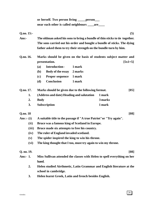|             | or herself. Two person living _____ person___                                                 |
|-------------|-----------------------------------------------------------------------------------------------|
|             | near each other is called neighbours ______ are_____                                          |
| Q.no. 15:-  | (5)                                                                                           |
| Ans:-       | The oldman asked his sons to bring a bundle of thin sticks to tie together.                   |
|             | The sons carried out his order and bought a bundle of sticks. The dying                       |
|             | father asked them to try their strength on the bundle turn by him.                            |
| Q.no. 16.   | Marks should be given on the basis of students subject matter and                             |
|             | $[5x1=5]$<br>presentation.                                                                    |
|             | <b>Introduction-</b><br>1 mark<br><b>(a)</b>                                                  |
|             | <b>Body of the essay</b><br>2 marks<br>( <b>b</b> )                                           |
|             | <b>Proper sequence</b><br>1 mark<br>(c)                                                       |
|             | (d)<br><b>Conclusion</b><br>1 mark                                                            |
| Q.no. 17.   | Marks should be given due to the following format.<br>[05]                                    |
| 1.          | (Address and date) Heading and salutation<br>1 mark                                           |
| 2.          | 3 marks<br><b>Body</b>                                                                        |
| 3.          | 1 mark<br><b>Subscription</b>                                                                 |
| Q.no. 18    | [08]                                                                                          |
| Ans:- $(i)$ | A suitable title to the passage if "A true Patriot" or "Try again".                           |
| (ii)        | Bruce was a famous king of Scotland in Europe.                                                |
| (iii)       | Bruce made six attempts to free his country.                                                  |
| (iv)        | The ruler of England invaded scotland.                                                        |
| (v)         | The spider inspired the king to win his throne.                                               |
| (vi)        | The king thought that I too, must try again to win my throne.                                 |
| Q. no. 19.  | [08]                                                                                          |
| Ans:- 1.    | Miss Sullivan attended the classes with Helen to spell everything on her                      |
|             | hand.                                                                                         |
| 2.          | Helen studied Airthmetic, Latin Grammar and English literature at the<br>school in cambridge. |
| 3.          | Helen learnt Greek, Latin and french besides English.                                         |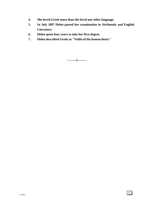- **4. She loved Greek more than she loved any other language.**
- **5. In July 1897 Helen passed her examination in Airthmatic and English Literature.**
- **6. Helen spent four years to take her first degree.**
- **7. Helen described Greek as "Violin of the human heart."**

**--------x--------**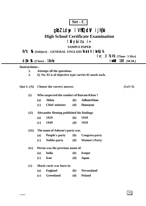| ۳۱ |  |  |
|----|--|--|
|----|--|--|

# gkbZ Ldwy I VhTQdV ijh{kk

# **High School Certificate Examination**

### l fiy&itu i=

### **SAMPLE PAPER**

#### fo"k; % (Subject) - GENERAL ENGLISH **Xvaxth | kekU**; ½

| $le; 3$ $\mathcal{R}\mathcal{M}$ (Time- 3 Hrs) |  |  |  |
|------------------------------------------------|--|--|--|
|------------------------------------------------|--|--|--|

| $d$ { $k \mathcal{R}$ (Class) - 100 $n$ | ivkid $100$ (M.M.) |  |
|-----------------------------------------|--------------------|--|
|                                         |                    |  |

#### **Instructions:-**

- **1. Attempt all the questions.**
- **2. Q. No. 01 is of objective type carries 01 mark each.**

**Que 1:-(A) Choose the correct answer. (1x5=5)**

- **(i) Who suspected the conduct of Bairam Khan ?**
	- **(a) Akbar (b) Adham Khan**
	- **(c) Chief minister (d) Humayun**

#### **(ii) Alexander fleming published his findings-**

- **(a) 1929 (b) 1939**
- **(c) 1949 (d) 1959**
- **(iii) The name of Adorno's party was.**
	- **(a) People's party (b) Congress party**
		- **(c) Nobles party (d) Women's Party**

#### **(iv) Persia was the previous name of-**

- **(a) India (b) Iraque**
- **(c) Iran (d) Japan**
- **(v) Marie curie was born in-**
	- **(a) England (b) Newzealand**
	- **(c) Greenland (d) Poland**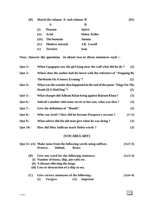| <b>(B)</b> |                      | Match the column 'A' and column 'B' |                     |  |  |  |  |
|------------|----------------------|-------------------------------------|---------------------|--|--|--|--|
|            | A                    |                                     | B                   |  |  |  |  |
|            | (i)                  | <b>Peasant</b>                      | <b>Spirit</b>       |  |  |  |  |
|            | (ii)<br><b>Ariel</b> |                                     | <b>Helen Keller</b> |  |  |  |  |
|            | (iii)                | The fountain                        | <b>Sammy</b>        |  |  |  |  |
|            | (iv)                 | <b>Modern miracle</b>               | <b>J.R. Lowell</b>  |  |  |  |  |
|            | $(\mathbf{v})$       | <b>Tortoise</b>                     | Ivan                |  |  |  |  |

**Note:-Answer the questions in about two or three sentences each :-**

| <b>Que 2:-</b>  | When Upagupta saw the girl lying near the wall what did he do?                                                                                                                | (2)       |
|-----------------|-------------------------------------------------------------------------------------------------------------------------------------------------------------------------------|-----------|
| <b>Que 3:-</b>  | Where does the auther halt his horse with the reference of "Stopping By                                                                                                       |           |
|                 | <b>The Woods On A Snowy Evening"?</b>                                                                                                                                         | (2)       |
| <b>Que 4:-</b>  | What was the wonder that happened in the end of the poem "Elegy On The                                                                                                        |           |
|                 | Death Of A Mad Dog"?                                                                                                                                                          | (2)       |
| <b>Que 5:-</b>  | What charges did Adham Khan bring against Bairam Khan?                                                                                                                        | (3)       |
| Que 6:-         | Sohrab's mother told some secret to her son, what was that?                                                                                                                   | (3)       |
| <b>Que 7:-</b>  | Give the definition of "Mould".                                                                                                                                               | (3)       |
| <b>Que 8:-</b>  | Who was Ariel? How did he become Prospero's servant?                                                                                                                          | $(1+2)$   |
| <b>Que 9:-</b>  | What advice did the old man give when he was dying?                                                                                                                           | (3)       |
| <b>Oue 10:-</b> | How did Miss Sullivan teach Helen words?                                                                                                                                      | (3)       |
|                 | [VOCABULARY]                                                                                                                                                                  |           |
|                 | Que 11:-(A) Make noun from the following words using suffixes.<br>Defend,<br>Protect,<br><b>Brave</b>                                                                         | $(1x3=3)$ |
| <b>(B)</b>      | Give one word for the following sentences.<br>(i) Number of buses, ship, aircrafts etc.<br>(ii) A disease effecting the lungs.<br>(iii) Loss or destruction of a ship at sea. | $(1x3=3)$ |

| (C) | <b>Give correct antonyms of the following:</b> | $(1x4=4)$ |  |               |  |
|-----|------------------------------------------------|-----------|--|---------------|--|
|     |                                                | Forgive   |  | (ii) Imprison |  |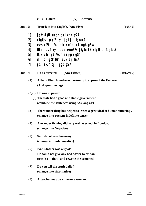**(iii) Hatred (iv) Advance**

|                                        | Que 12:- Translate into English. (Any Five)                                                                                                                                                                                                                                    | $(1x5=5)$   |
|----------------------------------------|--------------------------------------------------------------------------------------------------------------------------------------------------------------------------------------------------------------------------------------------------------------------------------|-------------|
| 1]<br>2]<br>3]<br>4]<br>5]<br>6]<br>7] | jk/kk d{kk uoeh ea i < rh g\$ A<br>rligkis ikpk; l dy jk; ig tk; xa A<br>etps vf?kd ?ku dh vko'; drk ugha g\$ A<br>Hikijr us fnYyh en dikeuo) Fk [kykn dk vk; kstu fd; k A<br>D; k vki jkt/kkuh ea jgrs g $\lambda$<br>di;k; gkW 'kkafr cuk; sj[ka A<br>jkst ikuh cjl jgk g\$A |             |
| <b>Que 13:-</b>                        | Do as directed :- (Any Fifteen)                                                                                                                                                                                                                                                | $(1x15=15)$ |
| (1)                                    | Adham Khan found an opportunity to approach the Emperor.<br>(Add question tag)                                                                                                                                                                                                 |             |
|                                        | $(2)(i)$ He was in power.<br>(ii) The state had a good and stable government.<br>(combine the sentences using 'As long as')                                                                                                                                                    |             |
| (3)                                    | The wonder drug has helped to lessen a great deal of human suffering.<br>(change into present indefinite tense)                                                                                                                                                                |             |
| (4)                                    | Alexander fleming did very well at school in London.<br>(change into Negative)                                                                                                                                                                                                 |             |
| (5)                                    | Sohrab collected an army.<br>(change into interrogative)                                                                                                                                                                                                                       |             |
| (6)                                    | Ivan's father was very old.<br>He could not give any bad advice to his son.<br>(use "so--- that" and rewrite the sentence)                                                                                                                                                     |             |
| (7)                                    | Do you tell the truth daily?<br>(change into affirmative)                                                                                                                                                                                                                      |             |

**(8) A teacher may be a man or a woman.**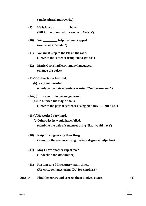**( make plural and rewrite)**

- **(9) He is late by \_\_\_\_\_\_\_\_\_ hour. (Fill in the blank with a correct 'Article')**
- **(10) We \_\_\_\_\_\_\_\_\_ help the handicapped. (use correct "modal")**
- **(11) You must keep to the left on the road. (Rewrite the sentence using "have got to")**
- **(12) Marie Curie had learnt many languages. (change the voice)**
- **(13)(a)Coffee is not harmful.**
	- **(b)Tea is not harmful. (combine the pair of sentences using "Neither----- nor")**
- **(14)(a)Prospero broke his magic wand.**
	- **(b) He burried his magic books.**

**(Rewrite the pair of sentences using Not only----- but also")**

- **(15)(a)He worked very hard.**
	- **(b)Otherwise he would have failed.**

**(combine the pair of sentences using 'Had-would have')**

- **(16) Raipur is bigger city than Durg. (Re-write the sentence using positive degree of adjective)**
- **(17) May I have another cup of tea ? (Underline the determiner)**
- **(18) Rustum saved his country many times. (Re-write sentence using 'Do' for emphasis)**
- **Ques 14:- Find the errors and correct them in given space. (5)**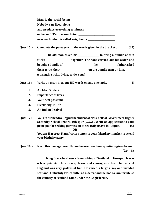| Man is the social being              |  |
|--------------------------------------|--|
| Nobody can lived alone               |  |
| and produce everything to himself    |  |
| or herself. Two person living        |  |
| near each other is called neighbours |  |

**Ques 15 :- Complete the passage with the words given in the bracket : (05)**

**The old man asked his \_\_\_\_\_\_\_\_\_\_\_\_\_ to bring a bundle of thin sticks \_\_\_\_\_\_\_\_\_\_\_\_\_\_\_ together. The sons carried out his order and bought a bundle of bought a bundle of them to try their \_\_\_\_\_\_\_\_\_\_\_\_\_\_\_\_\_ on the bundle turn by him. (strength, sticks, dying, to tie, sons)**

#### **Ques 16 :- Write an essay in about 150 words on any one topic. (5)**

- **1. An Ideal Student**
- **2. Importance of trees**
- **3. Your best pass time**
- **4. Electricity in life**
- **5. An Indian Festival**

**Ques 17 :- You are Mahendra Rajput the student of class X 'B' of Government Higher Secondry School Pendra, Bilaspur (C.G.) . Write an application to your principal for seeking permission to see Rajyotsava in Raipur. (5) OR You are Harpreet Kaur, Write a letter to your friend inviting her to attend your birthday party.**

**Ques 18:- Read this passage carefully and answer any four questions given below.**  $(2x4=8)$ 

> **King Bruce has been a famous king of Scotland in Europe. He was a true patriots. He was very brave and courageous also. The ruler of England was very jealous of him. He raised a large army and invaded scotland. Unluckily Bruce suffered a defeat and he had to run for life so the country of scotland came under the English rule.**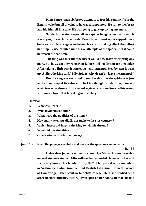**King Bruce made six brave attempts to free his country from the English yoke but all in vain. so he was disappointed. He ran to the forest and hid himself in a cave. He was going to give up trying any more.**

**Suddenly the king's eyes fell on a spider hanging from a thread. It was trying to reach its cob-web. Every time it went up, it slipped down but it went on trying again and again. It went on making effort after effort non stop. Bruce counted nine brave attempts of the spider. Still it could not reach the cob-web.**

**The king was sure that the insect would now leave attempting any more. But he was in the wrong. Nine failures did not discourage the spider. After taking a little rest it started its tenth attempt. Step by step it went up. At first the king said,"Silly Spider! why doesn't it leave the attempt?"**

**But the king was surprised to see that this time the spider was just at the door. Step of its cob-web. The king thought surely I too, must try again to win my throne. Bruce raised again an army and invaded his enemy with such a force that he got a grand victory.**

**Question :**

- **1. Who was Bruce ?**
- **2. Who invaded scotland ?**
- **3. What were the qualities of the king ?**
- **4. How many attempts did Bruce make to free his country ?**
- **5. Which insect did inspire the king to win his throne ?**
- **6. What did the king think ?**
- **7. Give a sitable title to the passage.**

**Ques 19:- Read the passage carefully and answer the questions given below.**

 **[2x4=8]**

**Helen then joined a school in Cambrige Massachusetts in which normal students studied. Miss sullivan had attended classes with her and spell everything on her hands. In July 1897 Helen passed her examination in Arithmatic, Latin Grammer and English Literature. From the school at Cambridge, Helen went to Redcliffe college. Here she studied with other normal students. Miss Sullivan spelt on her hands all that she had**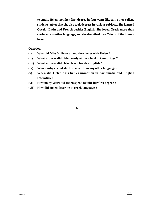**to study. Helen took her first degree in four years like any other college students. After that she also took degrees in various subjects. She learned Greek , Latin and French besides English. She loved Greek more than she loved any other language, and she described it as "Violin of the human heart.**

**Question :**

- **(i) Why did Miss Sullivan attend the classes with Helen ?**
- **(ii) What subjects did Helen study at the school in Combridge ?**
- **(iii) What subjects did Helen learn besides English ?**
- **(iv) Which subjects did she love more than any other language ?**
- **(v) When did Helen pass her examination in Airthmatic and English Literature?**
- **(vi) How many years did Helen spend to take her first degree ?**
- **(vii) How did Helen describe to greek language ?**

**--------------------x--------------------**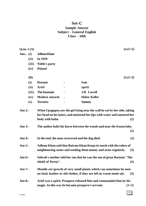### **Set-C Sample Answer Subject - General English Class - 10th**

| Q.no.1(A)   |                                                  |                                                                                                                                                   | $[1x5=5]$  |
|-------------|--------------------------------------------------|---------------------------------------------------------------------------------------------------------------------------------------------------|------------|
| Ans:- $(i)$ | <b>Adham Khan</b>                                |                                                                                                                                                   |            |
| (ii)        | In 1929                                          |                                                                                                                                                   |            |
| (iii)       | <b>Noble's party</b>                             |                                                                                                                                                   |            |
| (iv)        | <b>Poland</b>                                    |                                                                                                                                                   |            |
| <b>(B)</b>  |                                                  |                                                                                                                                                   | $[1x5=5]$  |
| (i)         | <b>Peasant</b>                                   | <b>Ivan</b>                                                                                                                                       |            |
| (ii)        | <b>Ariel</b>                                     | spirit                                                                                                                                            |            |
| (iii)       | The fountain                                     | <b>J.R. Lowell</b>                                                                                                                                |            |
| (iv)        | <b>Modern miracle</b>                            | <b>Helen Keller</b>                                                                                                                               |            |
| (v)         | <b>Tortoise</b>                                  | <b>Sammy</b>                                                                                                                                      |            |
| Ans $3:$ -  | body with balm.                                  | her head on his knees, and moistend her lips with water and smeared her<br>The author halts his horse between the woods and near the frozen lake. | (2)<br>(2) |
| Ans $4$ :-  | In the end, the man recovered and the dog died.  |                                                                                                                                                   | (2)        |
| Ans $5:-$   |                                                  | Adham Khan said that Bairam Khan Keeps in touch with the rulers of<br>neighbouring states and sending them money and arms regularly.              | (3)        |
| Ans $6:$    | shield of Persia".                               | Sohrab's mother told her son that he was the son of great Rustum "The                                                                             | (3)        |
| Ans $7:$    |                                                  | Moulds are growth of very small plants which can sometimes be seen<br>on food, leather or old clothes, if they are left in warm-moist air.        | (3)        |
| Ans $8:$    | magic. In this way he became prospero's servant. | Ariel was a spirit. Prospero released him and commanded him by his                                                                                | $(1+2)$    |

35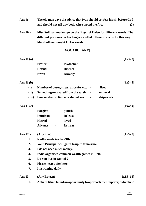- **Ans 9:- The old man gave the advice that Ivan should confess his sin before God and should not tell any body who started the fire. (3)**
- **Ans 10:- Miss Sullivan made sign on the finger of Helen for different words. The different positions on her fingers spelled different words. In this way Miss Sullivan taught Helen words.**

### **[VOCABULARY]**

| Ans $11(a)$      |                           |                |                                                                     | $[1x3=3]$   |
|------------------|---------------------------|----------------|---------------------------------------------------------------------|-------------|
|                  | <b>Protect</b>            | $\blacksquare$ | <b>Protection</b>                                                   |             |
|                  | <b>Defend</b>             |                | <b>Defence</b>                                                      |             |
|                  | <b>Brave</b>              |                | <b>Bravery</b>                                                      |             |
| Ans $11(b)$      |                           |                |                                                                     | $[1x3=3]$   |
| (i)              |                           |                | Number of buses, ships, aircrafts etc.<br>fleet.                    |             |
| (ii)             |                           |                | mineral<br>Something excavated from the earth<br>$\blacksquare$     |             |
| (iii)            |                           |                | Loss or destruction of a ship at sea<br>shipwreck<br>$\blacksquare$ |             |
| Ans $11(c)$      |                           |                |                                                                     | $[1x4=4]$   |
|                  | Forgive                   | $\blacksquare$ | punish                                                              |             |
|                  | <b>Imprison</b>           |                | <b>Release</b>                                                      |             |
|                  | <b>Hatred</b>             |                | loved                                                               |             |
|                  | <b>Advance</b>            |                | <b>Retreat</b>                                                      |             |
| Ans $12$ :-      | (Any Five)                |                |                                                                     | $[1x5=5]$   |
| $\mathbf{1}$     | Radha reads in class 9th  |                |                                                                     |             |
| 2.               |                           |                | Your Principal will go to Raipur tomorrow.                          |             |
| 3.               | I do not need much money. |                |                                                                     |             |
| $\overline{4}$ . |                           |                | India organised common wealth games in Delhi.                       |             |
| 5.               | Do you live in capital?   |                |                                                                     |             |
| 6.               | Please keep quite here.   |                |                                                                     |             |
| 7.               | It is raining daily.      |                |                                                                     |             |
| Ans 13:-         | (Any Fifteen)             |                |                                                                     | $[1x15=15]$ |
| 1.               |                           |                | Adham Khan found an opportunity to approach the Emperor, didn't he? |             |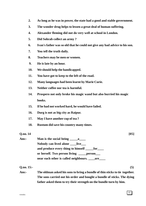- **2. As long as he was in power, the state had a good and stable government.**
- **3. The wonder drug helps to lessen a great deal of human suffering.**
- **4. Alexander fleming did not do very well at school in London.**
- **5. Did Sohrab collect an army ?**
- **6. Ivan's father was so old that he could not give any bad advice to his son.**
- **7. You tell the truth daily.**
- **8. Teachers may be men or women.**
- **9. He is late by an hour.**
- **10. We should help the handicapped.**
- **11. You have got to keep to the left of the road.**
- **12. Many languages had been learnt by Marie Curie.**
- **13. Neither coffee nor tea is harmful.**
- **14. Prospero not only broke his magic wand but also burried his magic books.**
- **15. If he had not worked hard, he would have failed.**
- **16. Durg is not as big city as Raipur.**
- **17. May I have another cup of tea ?**
- **18. Rustum did save his country many times.**

# $Q_{\rm}$ , no. 14 [05] Ans:- **Man is the social being \_\_\_\_\_\_a Nobody can lived alone \_\_\_\_live\_\_\_** and produce every thing to himself **contained** for **or herself. Two person living \_\_\_\_\_person\_\_\_ near each other is called neighbours. \_\_\_\_are\_\_\_\_ Q.no. 15:- (5) Ans:- The oldman asked his sons to bring a bundle of thin sticks to tie together. The sons carried out his order and bought a bundle of sticks. The dying**

**father asked them to try their strength on the bundle turn by him.**